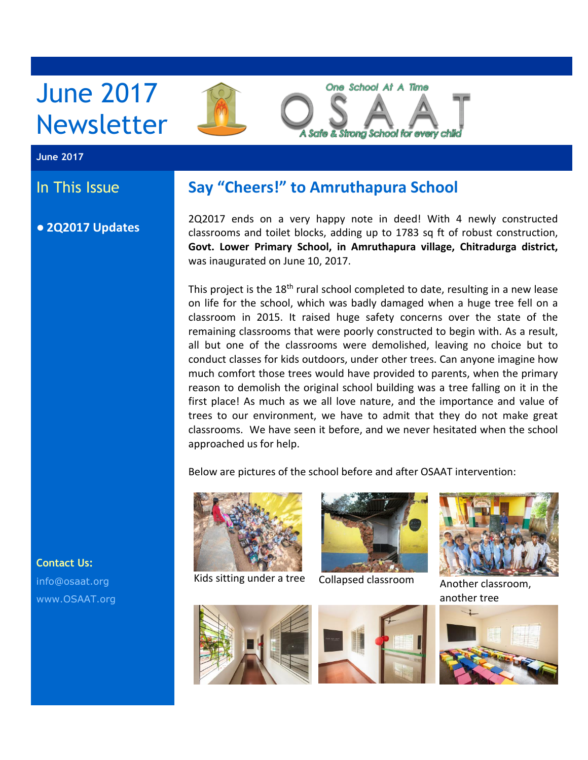# June 2017 Newsletter



#### **June 2017**

## In This Issue

● **2Q2017 Updates**

## **Say "Cheers!" to Amruthapura School**

2Q2017 ends on a very happy note in deed! With 4 newly constructed classrooms and toilet blocks, adding up to 1783 sq ft of robust construction, **Govt. Lower Primary School, in Amruthapura village, Chitradurga district,** was inaugurated on June 10, 2017.

This project is the 18<sup>th</sup> rural school completed to date, resulting in a new lease on life for the school, which was badly damaged when a huge tree fell on a classroom in 2015. It raised huge safety concerns over the state of the remaining classrooms that were poorly constructed to begin with. As a result, all but one of the classrooms were demolished, leaving no choice but to conduct classes for kids outdoors, under other trees. Can anyone imagine how much comfort those trees would have provided to parents, when the primary reason to demolish the original school building was a tree falling on it in the first place! As much as we all love nature, and the importance and value of trees to our environment, we have to admit that they do not make great classrooms. We have seen it before, and we never hesitated when the school approached us for help.

Below are pictures of the school before and after OSAAT intervention:



Kids sitting under a tree Collapsed classroom Another classroom,





another tree







**Contact Us:** [info@osaat.org](mailto:info@osaat.org) [www.OSAAT.org](http://www.osaat.org/)